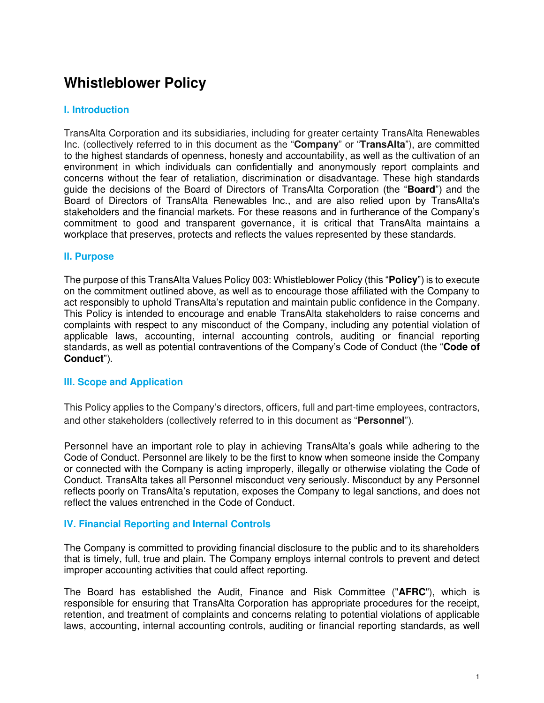# **Whistleblower Policy**

## **I. Introduction**

TransAlta Corporation and its subsidiaries, including for greater certainty TransAlta Renewables Inc. (collectively referred to in this document as the "**Company**" or "**TransAlta**"), are committed to the highest standards of openness, honesty and accountability, as well as the cultivation of an environment in which individuals can confidentially and anonymously report complaints and concerns without the fear of retaliation, discrimination or disadvantage. These high standards guide the decisions of the Board of Directors of TransAlta Corporation (the "**Board**") and the Board of Directors of TransAlta Renewables Inc., and are also relied upon by TransAlta's stakeholders and the financial markets. For these reasons and in furtherance of the Company's commitment to good and transparent governance, it is critical that TransAlta maintains a workplace that preserves, protects and reflects the values represented by these standards.

#### **II. Purpose**

The purpose of this TransAlta Values Policy 003: Whistleblower Policy (this "**Policy**") is to execute on the commitment outlined above, as well as to encourage those affiliated with the Company to act responsibly to uphold TransAlta's reputation and maintain public confidence in the Company. This Policy is intended to encourage and enable TransAlta stakeholders to raise concerns and complaints with respect to any misconduct of the Company, including any potential violation of applicable laws, accounting, internal accounting controls, auditing or financial reporting standards, as well as potential contraventions of the Company's Code of Conduct (the "**Code of Conduct**").

## **III. Scope and Application**

This Policy applies to the Company's directors, officers, full and part-time employees, contractors, and other stakeholders (collectively referred to in this document as "**Personnel**").

Personnel have an important role to play in achieving TransAlta's goals while adhering to the Code of Conduct. Personnel are likely to be the first to know when someone inside the Company or connected with the Company is acting improperly, illegally or otherwise violating the Code of Conduct. TransAlta takes all Personnel misconduct very seriously. Misconduct by any Personnel reflects poorly on TransAlta's reputation, exposes the Company to legal sanctions, and does not reflect the values entrenched in the Code of Conduct.

## **IV. Financial Reporting and Internal Controls**

The Company is committed to providing financial disclosure to the public and to its shareholders that is timely, full, true and plain. The Company employs internal controls to prevent and detect improper accounting activities that could affect reporting.

The Board has established the Audit, Finance and Risk Committee ("**AFRC**"), which is responsible for ensuring that TransAlta Corporation has appropriate procedures for the receipt, retention, and treatment of complaints and concerns relating to potential violations of applicable laws, accounting, internal accounting controls, auditing or financial reporting standards, as well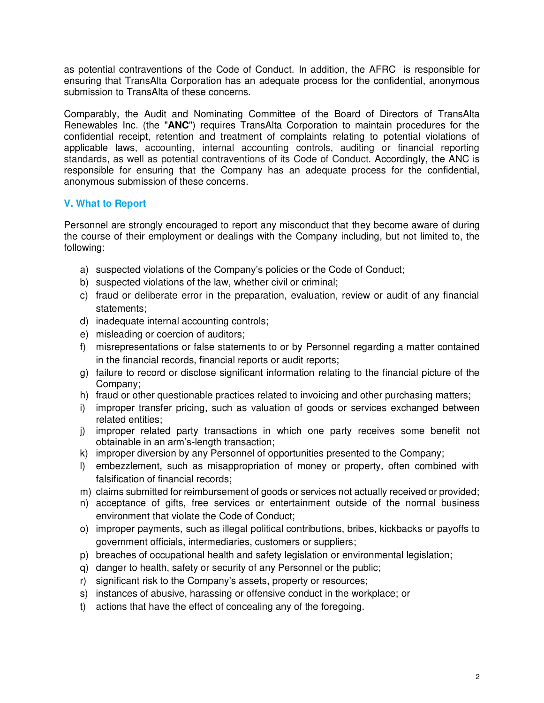as potential contraventions of the Code of Conduct. In addition, the AFRC is responsible for ensuring that TransAlta Corporation has an adequate process for the confidential, anonymous submission to TransAlta of these concerns.

Comparably, the Audit and Nominating Committee of the Board of Directors of TransAlta Renewables Inc. (the "**ANC**") requires TransAlta Corporation to maintain procedures for the confidential receipt, retention and treatment of complaints relating to potential violations of applicable laws, accounting, internal accounting controls, auditing or financial reporting standards, as well as potential contraventions of its Code of Conduct. Accordingly, the ANC is responsible for ensuring that the Company has an adequate process for the confidential, anonymous submission of these concerns.

## **V. What to Report**

Personnel are strongly encouraged to report any misconduct that they become aware of during the course of their employment or dealings with the Company including, but not limited to, the following:

- a) suspected violations of the Company's policies or the Code of Conduct;
- b) suspected violations of the law, whether civil or criminal;
- c) fraud or deliberate error in the preparation, evaluation, review or audit of any financial statements;
- d) inadequate internal accounting controls;
- e) misleading or coercion of auditors;
- f) misrepresentations or false statements to or by Personnel regarding a matter contained in the financial records, financial reports or audit reports;
- g) failure to record or disclose significant information relating to the financial picture of the Company;
- h) fraud or other questionable practices related to invoicing and other purchasing matters;
- i) improper transfer pricing, such as valuation of goods or services exchanged between related entities;
- j) improper related party transactions in which one party receives some benefit not obtainable in an arm's-length transaction;
- k) improper diversion by any Personnel of opportunities presented to the Company;
- l) embezzlement, such as misappropriation of money or property, often combined with falsification of financial records;
- m) claims submitted for reimbursement of goods or services not actually received or provided;
- n) acceptance of gifts, free services or entertainment outside of the normal business environment that violate the Code of Conduct;
- o) improper payments, such as illegal political contributions, bribes, kickbacks or payoffs to government officials, intermediaries, customers or suppliers;
- p) breaches of occupational health and safety legislation or environmental legislation;
- q) danger to health, safety or security of any Personnel or the public;
- r) significant risk to the Company's assets, property or resources;
- s) instances of abusive, harassing or offensive conduct in the workplace; or
- t) actions that have the effect of concealing any of the foregoing.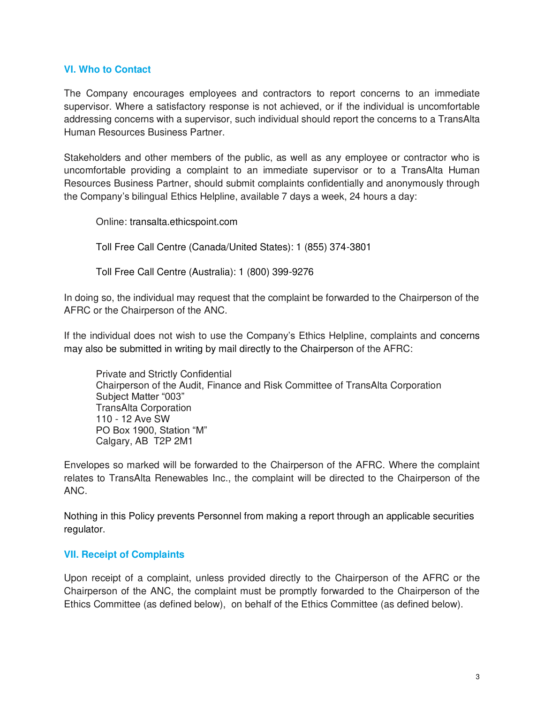## **VI. Who to Contact**

The Company encourages employees and contractors to report concerns to an immediate supervisor. Where a satisfactory response is not achieved, or if the individual is uncomfortable addressing concerns with a supervisor, such individual should report the concerns to a TransAlta Human Resources Business Partner.

Stakeholders and other members of the public, as well as any employee or contractor who is uncomfortable providing a complaint to an immediate supervisor or to a TransAlta Human Resources Business Partner, should submit complaints confidentially and anonymously through the Company's bilingual Ethics Helpline, available 7 days a week, 24 hours a day:

Online: transalta.ethicspoint.com

Toll Free Call Centre (Canada/United States): 1 (855) 374-3801

Toll Free Call Centre (Australia): 1 (800) 399-9276

In doing so, the individual may request that the complaint be forwarded to the Chairperson of the AFRC or the Chairperson of the ANC.

If the individual does not wish to use the Company's Ethics Helpline, complaints and concerns may also be submitted in writing by mail directly to the Chairperson of the AFRC:

Private and Strictly Confidential Chairperson of the Audit, Finance and Risk Committee of TransAlta Corporation Subject Matter "003" TransAlta Corporation 110 - 12 Ave SW PO Box 1900, Station "M" Calgary, AB T2P 2M1

Envelopes so marked will be forwarded to the Chairperson of the AFRC. Where the complaint relates to TransAlta Renewables Inc., the complaint will be directed to the Chairperson of the ANC.

Nothing in this Policy prevents Personnel from making a report through an applicable securities regulator.

## **VII. Receipt of Complaints**

Upon receipt of a complaint, unless provided directly to the Chairperson of the AFRC or the Chairperson of the ANC, the complaint must be promptly forwarded to the Chairperson of the Ethics Committee (as defined below), on behalf of the Ethics Committee (as defined below).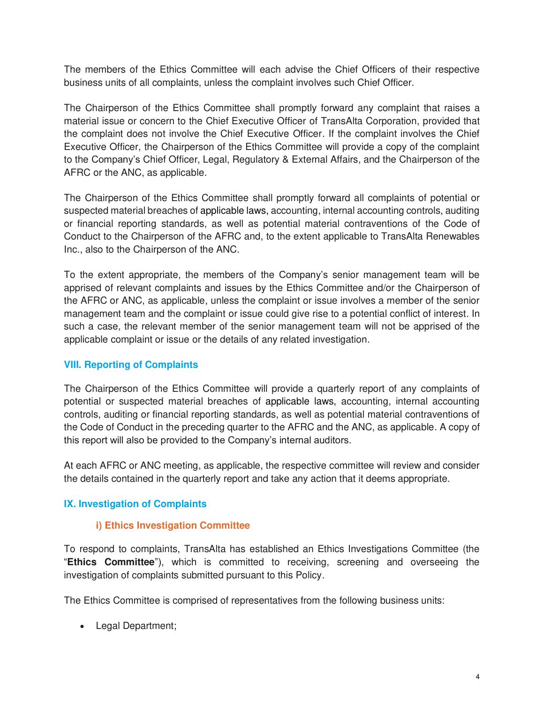The members of the Ethics Committee will each advise the Chief Officers of their respective business units of all complaints, unless the complaint involves such Chief Officer.

The Chairperson of the Ethics Committee shall promptly forward any complaint that raises a material issue or concern to the Chief Executive Officer of TransAlta Corporation, provided that the complaint does not involve the Chief Executive Officer. If the complaint involves the Chief Executive Officer, the Chairperson of the Ethics Committee will provide a copy of the complaint to the Company's Chief Officer, Legal, Regulatory & External Affairs, and the Chairperson of the AFRC or the ANC, as applicable.

The Chairperson of the Ethics Committee shall promptly forward all complaints of potential or suspected material breaches of applicable laws, accounting, internal accounting controls, auditing or financial reporting standards, as well as potential material contraventions of the Code of Conduct to the Chairperson of the AFRC and, to the extent applicable to TransAlta Renewables Inc., also to the Chairperson of the ANC.

To the extent appropriate, the members of the Company's senior management team will be apprised of relevant complaints and issues by the Ethics Committee and/or the Chairperson of the AFRC or ANC, as applicable, unless the complaint or issue involves a member of the senior management team and the complaint or issue could give rise to a potential conflict of interest. In such a case, the relevant member of the senior management team will not be apprised of the applicable complaint or issue or the details of any related investigation.

## **VIII. Reporting of Complaints**

The Chairperson of the Ethics Committee will provide a quarterly report of any complaints of potential or suspected material breaches of applicable laws, accounting, internal accounting controls, auditing or financial reporting standards, as well as potential material contraventions of the Code of Conduct in the preceding quarter to the AFRC and the ANC, as applicable. A copy of this report will also be provided to the Company's internal auditors.

At each AFRC or ANC meeting, as applicable, the respective committee will review and consider the details contained in the quarterly report and take any action that it deems appropriate.

## **IX. Investigation of Complaints**

## **i) Ethics Investigation Committee**

To respond to complaints, TransAlta has established an Ethics Investigations Committee (the "**Ethics Committee**"), which is committed to receiving, screening and overseeing the investigation of complaints submitted pursuant to this Policy.

The Ethics Committee is comprised of representatives from the following business units:

• Legal Department;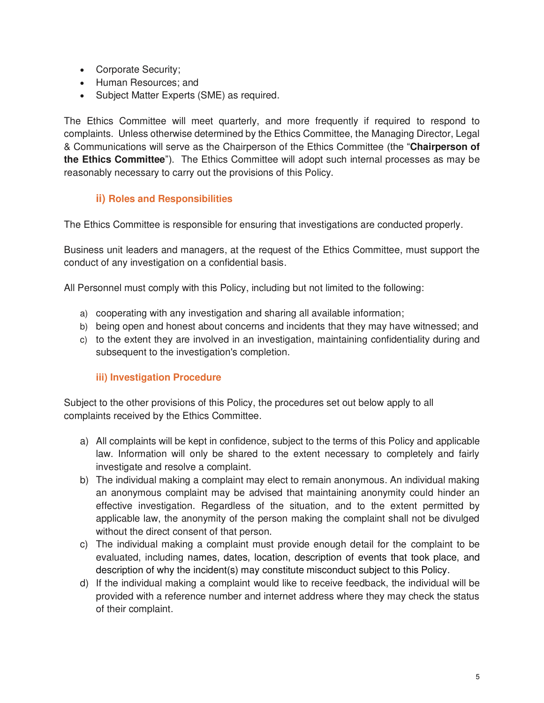- Corporate Security;
- Human Resources; and
- Subject Matter Experts (SME) as required.

The Ethics Committee will meet quarterly, and more frequently if required to respond to complaints. Unless otherwise determined by the Ethics Committee, the Managing Director, Legal & Communications will serve as the Chairperson of the Ethics Committee (the "**Chairperson of the Ethics Committee**"). The Ethics Committee will adopt such internal processes as may be reasonably necessary to carry out the provisions of this Policy.

# **ii) Roles and Responsibilities**

The Ethics Committee is responsible for ensuring that investigations are conducted properly.

Business unit leaders and managers, at the request of the Ethics Committee, must support the conduct of any investigation on a confidential basis.

All Personnel must comply with this Policy, including but not limited to the following:

- a) cooperating with any investigation and sharing all available information;
- b) being open and honest about concerns and incidents that they may have witnessed; and
- c) to the extent they are involved in an investigation, maintaining confidentiality during and subsequent to the investigation's completion.

## **iii) Investigation Procedure**

Subject to the other provisions of this Policy, the procedures set out below apply to all complaints received by the Ethics Committee.

- a) All complaints will be kept in confidence, subject to the terms of this Policy and applicable law. Information will only be shared to the extent necessary to completely and fairly investigate and resolve a complaint.
- b) The individual making a complaint may elect to remain anonymous. An individual making an anonymous complaint may be advised that maintaining anonymity could hinder an effective investigation. Regardless of the situation, and to the extent permitted by applicable law, the anonymity of the person making the complaint shall not be divulged without the direct consent of that person.
- c) The individual making a complaint must provide enough detail for the complaint to be evaluated, including names, dates, location, description of events that took place, and description of why the incident(s) may constitute misconduct subject to this Policy.
- d) If the individual making a complaint would like to receive feedback, the individual will be provided with a reference number and internet address where they may check the status of their complaint.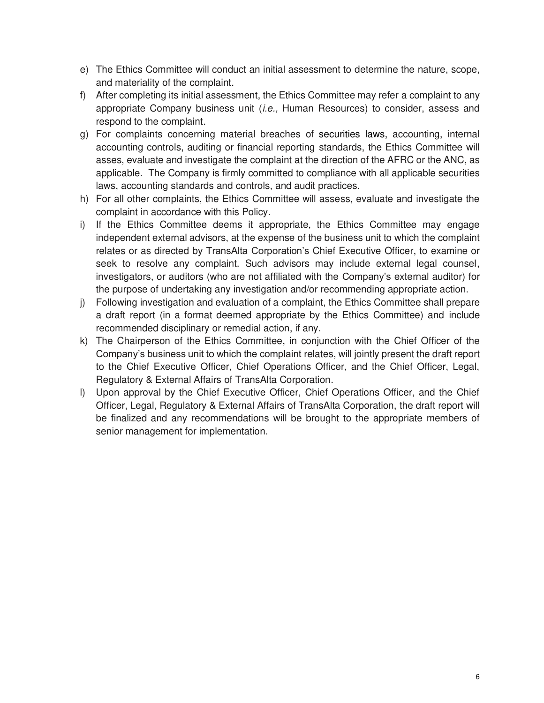- e) The Ethics Committee will conduct an initial assessment to determine the nature, scope, and materiality of the complaint.
- f) After completing its initial assessment, the Ethics Committee may refer a complaint to any appropriate Company business unit  $(i.e., Human$  Resources) to consider, assess and respond to the complaint.
- g) For complaints concerning material breaches of securities laws, accounting, internal accounting controls, auditing or financial reporting standards, the Ethics Committee will asses, evaluate and investigate the complaint at the direction of the AFRC or the ANC, as applicable. The Company is firmly committed to compliance with all applicable securities laws, accounting standards and controls, and audit practices.
- h) For all other complaints, the Ethics Committee will assess, evaluate and investigate the complaint in accordance with this Policy.
- i) If the Ethics Committee deems it appropriate, the Ethics Committee may engage independent external advisors, at the expense of the business unit to which the complaint relates or as directed by TransAlta Corporation's Chief Executive Officer, to examine or seek to resolve any complaint. Such advisors may include external legal counsel, investigators, or auditors (who are not affiliated with the Company's external auditor) for the purpose of undertaking any investigation and/or recommending appropriate action.
- j) Following investigation and evaluation of a complaint, the Ethics Committee shall prepare a draft report (in a format deemed appropriate by the Ethics Committee) and include recommended disciplinary or remedial action, if any.
- k) The Chairperson of the Ethics Committee, in conjunction with the Chief Officer of the Company's business unit to which the complaint relates, will jointly present the draft report to the Chief Executive Officer, Chief Operations Officer, and the Chief Officer, Legal, Regulatory & External Affairs of TransAlta Corporation.
- l) Upon approval by the Chief Executive Officer, Chief Operations Officer, and the Chief Officer, Legal, Regulatory & External Affairs of TransAlta Corporation, the draft report will be finalized and any recommendations will be brought to the appropriate members of senior management for implementation.